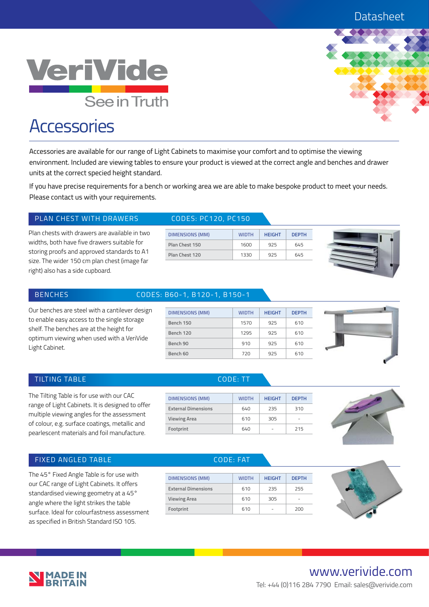

# **Accessories**

Accessories are available for our range of Light Cabinets to maximise your comfort and to optimise the viewing environment. Included are viewing tables to ensure your product is viewed at the correct angle and benches and drawer units at the correct specied height standard.

If you have precise requirements for a bench or working area we are able to make bespoke product to meet your needs. Please contact us with your requirements.

### PLAN CHEST WITH DRAWERS CODES: PC120, PC150

Plan chests with drawers are available in two widths, both have five drawers suitable for storing proofs and approved standards to A1 size. The wider 150 cm plan chest (image far right) also has a side cupboard.

| <b>DIMENSIONS (MM)</b> | <b>WIDTH</b> | <b>HEIGHT</b> | <b>DEPTH</b> |
|------------------------|--------------|---------------|--------------|
| Plan Chest 150         | 1600         | 975           | 645          |
| Plan Chest 120         | 1330         | 925           | 645          |



### BENCHES CODES: B60-1, B120-1, B150-1

| Our benches are steel with a cantilever design |
|------------------------------------------------|
| to enable easy access to the single storage    |
| shelf. The benches are at the height for       |
| optimum viewing when used with a VeriVide      |
| Light Cabinet.                                 |

| <b>DIMENSIONS (MM)</b> | <b>WIDTH</b> | <b>HEIGHT</b> | <b>DEPTH</b> |
|------------------------|--------------|---------------|--------------|
| Bench 150              | 1570         | 925           | 610          |
| Bench 120              | 1295         | 925           | 610          |
| Bench 90               | 910          | 925           | 610          |
| Bench 60               | 720          | 925           | 610          |



### TILTING TABLE CODE: TT

The Tilting Table is for use with our CAC range of Light Cabinets. It is designed to offer multiple viewing angles for the assessment of colour, e.g. surface coatings, metallic and pearlescent materials and foil manufacture.

| <b>DIMENSIONS (MM)</b>     | <b>WIDTH</b> | <b>HEIGHT</b> | <b>DEPTH</b> |
|----------------------------|--------------|---------------|--------------|
| <b>External Dimensions</b> | 640          | 235           | 310          |
| <b>Viewing Area</b>        | 610          | 305           |              |
| Footprint                  | 640          |               | 215          |



### FIXED ANGLED TABLE **CODE:** FAT

The 45° Fixed Angle Table is for use with our CAC range of Light Cabinets. It offers standardised viewing geometry at a 45° angle where the light strikes the table surface. Ideal for colourfastness assessment as specified in British Standard ISO 105.

| <b>DIMENSIONS (MM)</b>     | <b>WIDTH</b> | <b>HEIGHT</b> | <b>DEPTH</b> |
|----------------------------|--------------|---------------|--------------|
| <b>External Dimensions</b> | 610          | 235           | 255          |
| <b>Viewing Area</b>        | 610          | 305           | -            |
| Footprint                  | 610          |               | 200          |
|                            |              |               |              |



## www.verivide.com Tel: +44 (0)116 284 7790 Email: sales@verivide.com